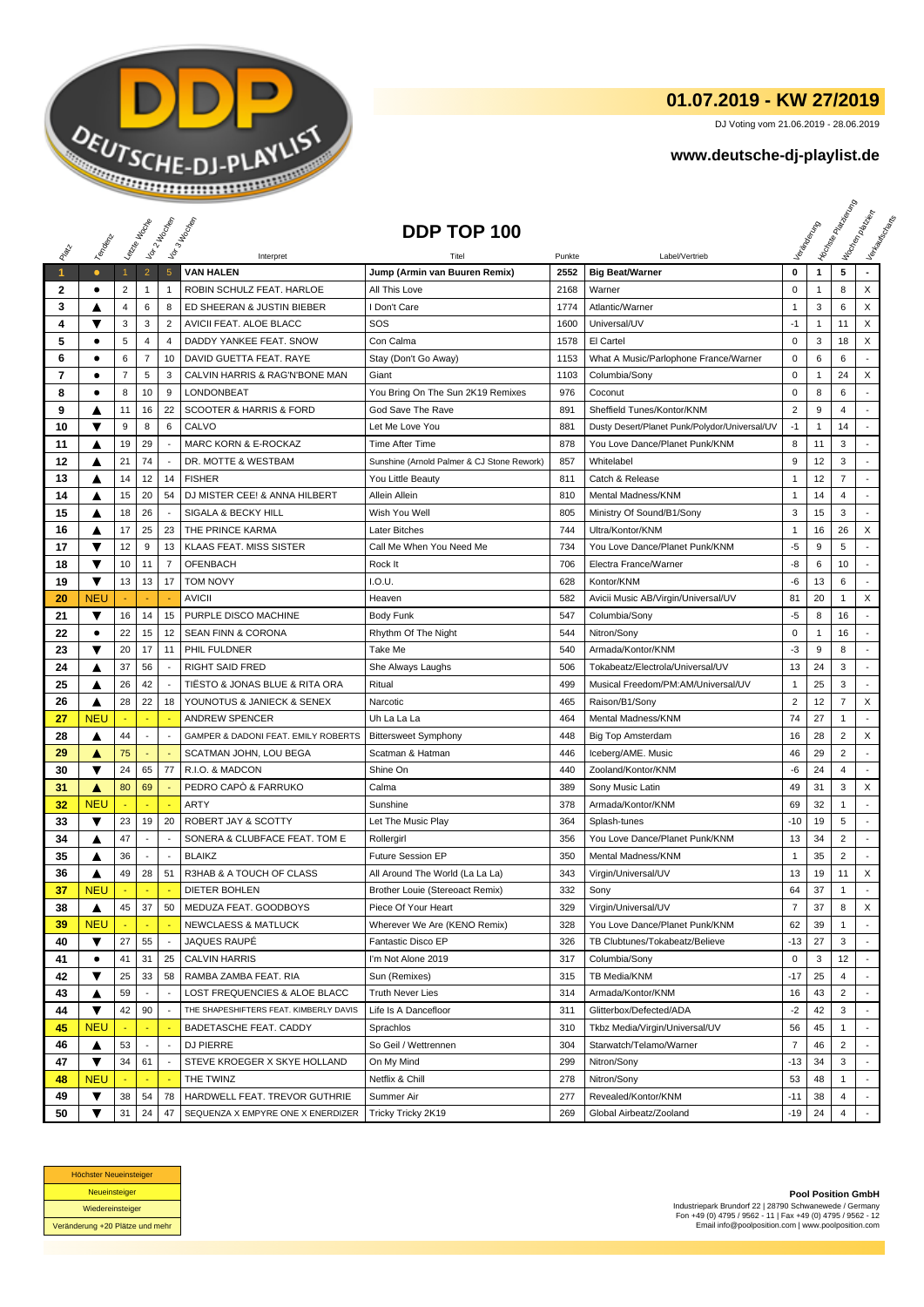

## **01.07.2019 - KW 27/2019**

DJ Voting vom 21.06.2019 - 28.06.2019

## **www.deutsche-dj-playlist.de**

|              |                        | Leizie Hacope                  |                          | Voir 2 Moone             | Vor 3 Incolas                                       | DDP TOP 100                                |              |                                               |                               |                   | <b>Licitorial Principal Assistance</b> | I tochen palaban<br>Verkeys Right |
|--------------|------------------------|--------------------------------|--------------------------|--------------------------|-----------------------------------------------------|--------------------------------------------|--------------|-----------------------------------------------|-------------------------------|-------------------|----------------------------------------|-----------------------------------|
|              | Templative             |                                |                          |                          |                                                     |                                            |              |                                               |                               |                   |                                        |                                   |
|              |                        |                                |                          |                          | Interpret<br><b>VAN HALEN</b>                       |                                            | Punkte       | Label/Vertrieb                                | $\mathbf 0$                   |                   | 5                                      |                                   |
| $\mathbf{1}$ | $\bullet$<br>$\bullet$ | $\mathbf{1}$<br>$\overline{2}$ | $\overline{2}$           | $5\phantom{.0}$          | ROBIN SCHULZ FEAT. HARLOE                           | Jump (Armin van Buuren Remix)              | 2552         | <b>Big Beat/Warner</b>                        | $\mathbf 0$                   | $\mathbf{1}$      | 8                                      | X                                 |
| 2<br>3       |                        | 4                              | $\mathbf{1}$<br>6        | $\mathbf{1}$<br>8        | ED SHEERAN & JUSTIN BIEBER                          | All This Love<br>I Don't Care              | 2168<br>1774 | Warner<br>Atlantic/Warner                     | $\mathbf{1}$                  | $\mathbf{1}$<br>3 | 6                                      | X                                 |
| 4            | ▲<br>▼                 | 3                              | 3                        | $\overline{2}$           |                                                     | SOS                                        | 1600         | Universal/UV                                  | $-1$                          | $\mathbf{1}$      | 11                                     | X                                 |
| 5            | $\bullet$              | 5                              | $\overline{4}$           | $\overline{4}$           | AVICII FEAT. ALOE BLACC<br>DADDY YANKEE FEAT. SNOW  | Con Calma                                  | 1578         | El Cartel                                     | $\mathsf 0$                   | 3                 | 18                                     | X                                 |
|              | ٠                      | 6                              | $\overline{7}$           | 10                       |                                                     |                                            |              |                                               | $\mathbf 0$                   | 6                 | 6                                      |                                   |
| 6<br>7       | $\bullet$              | $\overline{7}$                 | 5                        | 3                        | DAVID GUETTA FEAT. RAYE                             | Stay (Don't Go Away)                       | 1153         | What A Music/Parlophone France/Warner         | $\mathbf 0$                   | $\mathbf{1}$      | 24                                     | X                                 |
|              | $\bullet$              |                                |                          |                          | CALVIN HARRIS & RAG'N'BONE MAN<br><b>LONDONBEAT</b> | Giant                                      | 1103         | Columbia/Sony                                 |                               |                   |                                        |                                   |
| 8<br>9       |                        | 8<br>11                        | 10<br>16                 | 9<br>22                  | <b>SCOOTER &amp; HARRIS &amp; FORD</b>              | You Bring On The Sun 2K19 Remixes          | 976<br>891   | Coconut<br>Sheffield Tunes/Kontor/KNM         | $\mathbf 0$<br>$\overline{2}$ | 8<br>9            | 6<br>$\overline{4}$                    |                                   |
|              | ▲<br>▼                 |                                |                          |                          |                                                     | God Save The Rave                          |              |                                               |                               |                   | 14                                     |                                   |
| 10           |                        | 9                              | 8                        | 6                        | CALVO                                               | Let Me Love You                            | 881          | Dusty Desert/Planet Punk/Polydor/Universal/UV | $-1$                          | $\mathbf{1}$      |                                        |                                   |
| 11           | ▲                      | 19                             | 29                       | $\overline{\phantom{a}}$ | MARC KORN & E-ROCKAZ                                | Time After Time                            | 878          | You Love Dance/Planet Punk/KNM                | 8                             | 11                | 3                                      |                                   |
| 12           | ▲                      | 21                             | 74                       | $\overline{a}$           | DR. MOTTE & WESTBAM                                 | Sunshine (Arnold Palmer & CJ Stone Rework) | 857          | Whitelabel                                    | 9                             | 12                | 3                                      |                                   |
| 13           | ▲                      | 14                             | 12                       | 14                       | <b>FISHER</b>                                       | You Little Beauty                          | 811          | Catch & Release                               | $\overline{1}$                | 12                | $\overline{7}$                         |                                   |
| 14           | ▲                      | 15                             | 20                       | 54                       | DJ MISTER CEE! & ANNA HILBERT                       | Allein Allein                              | 810          | Mental Madness/KNM                            | $\mathbf{1}$                  | 14                | $\overline{4}$                         |                                   |
| 15           | ▲                      | 18                             | 26                       |                          | SIGALA & BECKY HILL                                 | Wish You Well                              | 805          | Ministry Of Sound/B1/Sony                     | 3                             | 15                | 3                                      |                                   |
| 16           | ▲                      | 17                             | 25                       | 23                       | THE PRINCE KARMA                                    | Later Bitches                              | 744          | Ultra/Kontor/KNM                              | 1                             | 16                | 26                                     | X                                 |
| 17           | ▼                      | 12                             | 9                        | 13                       | <b>KLAAS FEAT. MISS SISTER</b>                      | Call Me When You Need Me                   | 734          | You Love Dance/Planet Punk/KNM                | $-5$                          | 9                 | 5                                      |                                   |
| 18           | ▼                      | 10                             | 11                       | $\overline{7}$           | <b>OFENBACH</b>                                     | Rock It                                    | 706          | Electra France/Warner                         | -8                            | 6                 | 10                                     |                                   |
| 19           | ▼                      | 13                             | 13                       | 17                       | <b>TOM NOVY</b>                                     | I.O.U.                                     | 628          | Kontor/KNM                                    | -6                            | 13                | 6                                      |                                   |
| 20           | <b>NEU</b>             |                                |                          |                          | <b>AVICII</b>                                       | Heaven                                     | 582          | Avicii Music AB/Virgin/Universal/UV           | 81                            | 20                | $\mathbf{1}$                           | X                                 |
| 21           | ▼                      | 16                             | 14                       | 15                       | PURPLE DISCO MACHINE                                | Body Funk                                  | 547          | Columbia/Sony                                 | $-5$                          | 8                 | 16                                     |                                   |
| 22           | $\bullet$              | 22                             | 15                       | 12                       | <b>SEAN FINN &amp; CORONA</b>                       | Rhythm Of The Night                        | 544          | Nitron/Sony                                   | $\mathbf 0$                   | $\mathbf{1}$      | 16                                     |                                   |
| 23           | ▼                      | 20                             | 17                       | 11                       | PHIL FULDNER                                        | Take Me                                    | 540          | Armada/Kontor/KNM                             | $-3$                          | 9                 | 8                                      |                                   |
| 24           | ▲                      | 37                             | 56                       | $\overline{\phantom{a}}$ | <b>RIGHT SAID FRED</b>                              | She Always Laughs                          | 506          | Tokabeatz/Electrola/Universal/UV              | 13                            | 24                | 3                                      |                                   |
| 25           | ▲                      | 26                             | 42                       |                          | TIESTO & JONAS BLUE & RITA ORA                      | Ritual                                     | 499          | Musical Freedom/PM:AM/Universal/UV            | $\mathbf{1}$                  | 25                | 3                                      |                                   |
| 26           | ▲                      | 28                             | 22                       | 18                       | YOUNOTUS & JANIECK & SENEX                          | Narcotic                                   | 465          | Raison/B1/Sony                                | $\overline{2}$                | 12                | $\overline{7}$                         | X                                 |
| 27           | <b>NEU</b>             |                                |                          |                          | <b>ANDREW SPENCER</b>                               | Uh La La La                                | 464          | Mental Madness/KNM                            | 74                            | 27                | 1                                      | $\overline{\phantom{a}}$          |
| 28           | ▲                      | 44                             | $\blacksquare$           | ÷,                       | GAMPER & DADONI FEAT. EMILY ROBERTS                 | <b>Bittersweet Symphony</b>                | 448          | <b>Big Top Amsterdam</b>                      | 16                            | 28                | $\overline{2}$                         | X                                 |
| 29           | A                      | 75                             |                          |                          | SCATMAN JOHN, LOU BEGA                              | Scatman & Hatman                           | 446          | Iceberg/AME. Music                            | 46                            | 29                | $\overline{2}$                         |                                   |
| 30           | ▼                      | 24                             | 65                       | 77                       | R.I.O. & MADCON                                     | Shine On                                   | 440          | Zooland/Kontor/KNM                            | -6                            | 24                | 4                                      |                                   |
| 31           | A                      | 80                             | 69                       |                          | PEDRO CAPÓ & FARRUKO                                | Calma                                      | 389          | Sony Music Latin                              | 49                            | 31                | 3                                      | X                                 |
| 32           | <b>NEU</b>             |                                |                          |                          | <b>ARTY</b>                                         | Sunshine                                   | 378          | Armada/Kontor/KNM                             | 69                            | 32                | 1                                      |                                   |
| 33           | ▼                      | 23                             | 19                       | 20                       | ROBERT JAY & SCOTTY                                 | Let The Music Play                         | 364          | Splash-tunes                                  | $-10$                         | 19                | 5                                      | ÷                                 |
| 34           | ▲                      | 47                             | $\overline{a}$           | $\overline{a}$           | SONERA & CLUBFACE FEAT. TOM E                       | Rollergirl                                 | 356          | You Love Dance/Planet Punk/KNM                | 13                            | 34                | $\overline{2}$                         | ÷.                                |
| 35           | ▲                      | 36                             | $\overline{\phantom{a}}$ | $\overline{\phantom{a}}$ | <b>BLAIKZ</b>                                       | <b>Future Session EP</b>                   | 350          | Mental Madness/KNM                            | $\mathbf{1}$                  | 35                | $\overline{2}$                         |                                   |
| 36           | ▲                      | 49                             | 28                       | 51                       | R3HAB & A TOUCH OF CLASS                            | All Around The World (La La La)            | 343          | Virgin/Universal/UV                           | 13                            | 19                | 11                                     | X                                 |
| 37           | <b>NEU</b>             |                                | ÷.                       | ٠.                       | DIETER BOHLEN                                       | <b>Brother Louie (Stereoact Remix)</b>     | 332          | Sony                                          | 64                            | 37                | 1                                      | ÷                                 |
| 38           | ▲                      | 45                             | 37                       | 50                       | MEDUZA FEAT. GOODBOYS                               | Piece Of Your Heart                        | 329          | Virgin/Universal/UV                           | $\overline{7}$                | 37                | 8                                      | X                                 |
| 39           | <b>NEU</b>             |                                |                          |                          | <b>NEWCLAESS &amp; MATLUCK</b>                      | Wherever We Are (KENO Remix)               | 328          | You Love Dance/Planet Punk/KNM                | 62                            | 39                | $\mathbf{1}$                           |                                   |
| 40           | ▼                      | 27                             | 55                       | $\overline{\phantom{a}}$ | JAQUES RAUPÉ                                        | Fantastic Disco EP                         | 326          | TB Clubtunes/Tokabeatz/Believe                | $-13$                         | 27                | 3                                      |                                   |
| 41           | $\bullet$              | 41                             | 31                       | 25                       | <b>CALVIN HARRIS</b>                                | I'm Not Alone 2019                         | 317          | Columbia/Sony                                 | 0                             | 3                 | 12                                     |                                   |
| 42           | ▼                      | 25                             | 33                       | 58                       | RAMBA ZAMBA FEAT. RIA                               | Sun (Remixes)                              | 315          | TB Media/KNM                                  | $-17$                         | 25                | 4                                      |                                   |
| 43           | ▲                      | 59                             |                          |                          | LOST FREQUENCIES & ALOE BLACC                       | <b>Truth Never Lies</b>                    | 314          | Armada/Kontor/KNM                             | 16                            | 43                | 2                                      |                                   |
| 44           | ▼                      | 42                             | 90                       |                          | THE SHAPESHIFTERS FEAT. KIMBERLY DAVIS              | Life Is A Dancefloor                       | 311          | Glitterbox/Defected/ADA                       | $-2$                          | 42                | 3                                      |                                   |
| 45           | <b>NEU</b>             |                                |                          |                          | BADETASCHE FEAT. CADDY                              | Sprachlos                                  | 310          | Tkbz Media/Virgin/Universal/UV                | 56                            | 45                | -1                                     |                                   |
| 46           | ▲                      | 53                             | $\overline{\phantom{a}}$ | $\overline{\phantom{a}}$ | DJ PIERRE                                           | So Geil / Wettrennen                       | 304          | Starwatch/Telamo/Warner                       | $\overline{7}$                | 46                | $\overline{2}$                         |                                   |
| 47           | ▼                      | 34                             | 61                       | $\overline{\phantom{a}}$ | STEVE KROEGER X SKYE HOLLAND                        | On My Mind                                 | 299          | Nitron/Sony                                   | $-13$                         | 34                | 3                                      |                                   |
| 48           | <b>NEU</b>             |                                |                          |                          | THE TWINZ                                           | Netflix & Chill                            | 278          | Nitron/Sony                                   | 53                            | 48                | 1                                      |                                   |
| 49           | ▼                      | 38                             | 54                       | 78                       | HARDWELL FEAT. TREVOR GUTHRIE                       | Summer Air                                 | 277          | Revealed/Kontor/KNM                           | $-11$                         | 38                | 4                                      |                                   |
| 50           | ▼                      | 31                             | 24                       | 47                       | SEQUENZA X EMPYRE ONE X ENERDIZER                   | Tricky Tricky 2K19                         | 269          | Global Airbeatz/Zooland                       | -19                           | 24                | 4                                      |                                   |



**Pool Position GmbH** Industriepark Brundorf 22 | 28790 Schwanewede / Germany Fon +49 (0) 4795 / 9562 - 11 | Fax +49 (0) 4795 / 9562 - 12 Email info@poolposition.com | www.poolposition.com